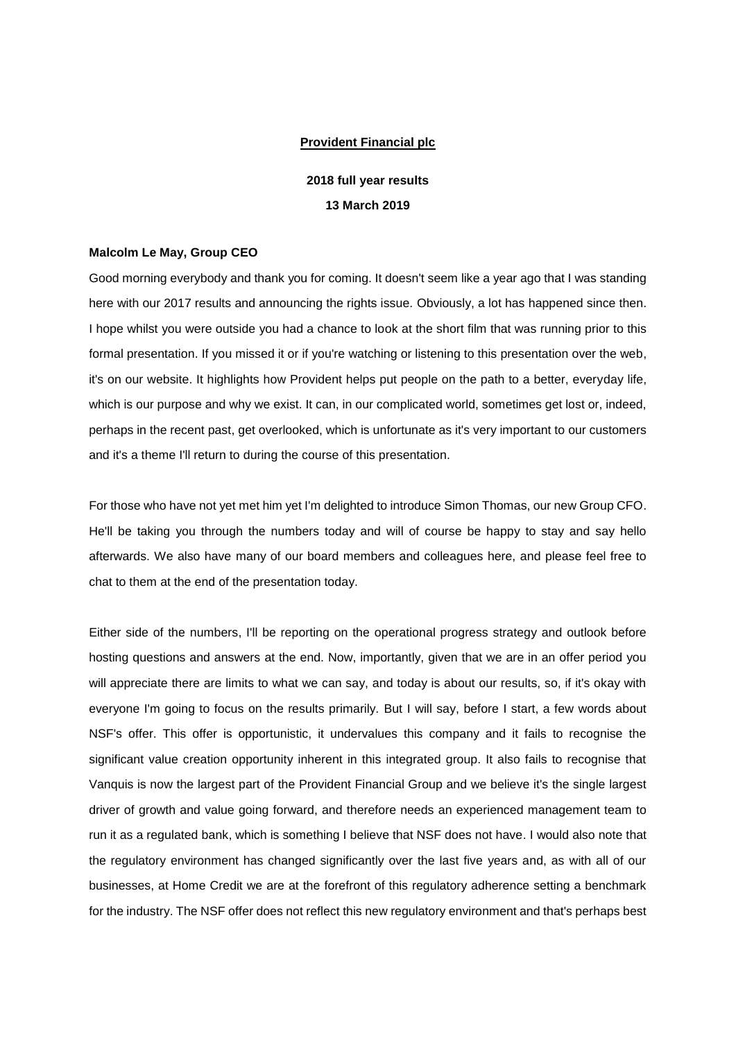## **Provident Financial plc**

# **2018 full year results 13 March 2019**

#### **Malcolm Le May, Group CEO**

Good morning everybody and thank you for coming. It doesn't seem like a year ago that I was standing here with our 2017 results and announcing the rights issue. Obviously, a lot has happened since then. I hope whilst you were outside you had a chance to look at the short film that was running prior to this formal presentation. If you missed it or if you're watching or listening to this presentation over the web, it's on our website. It highlights how Provident helps put people on the path to a better, everyday life, which is our purpose and why we exist. It can, in our complicated world, sometimes get lost or, indeed, perhaps in the recent past, get overlooked, which is unfortunate as it's very important to our customers and it's a theme I'll return to during the course of this presentation.

For those who have not yet met him yet I'm delighted to introduce Simon Thomas, our new Group CFO. He'll be taking you through the numbers today and will of course be happy to stay and say hello afterwards. We also have many of our board members and colleagues here, and please feel free to chat to them at the end of the presentation today.

Either side of the numbers, I'll be reporting on the operational progress strategy and outlook before hosting questions and answers at the end. Now, importantly, given that we are in an offer period you will appreciate there are limits to what we can say, and today is about our results, so, if it's okay with everyone I'm going to focus on the results primarily. But I will say, before I start, a few words about NSF's offer. This offer is opportunistic, it undervalues this company and it fails to recognise the significant value creation opportunity inherent in this integrated group. It also fails to recognise that Vanquis is now the largest part of the Provident Financial Group and we believe it's the single largest driver of growth and value going forward, and therefore needs an experienced management team to run it as a regulated bank, which is something I believe that NSF does not have. I would also note that the regulatory environment has changed significantly over the last five years and, as with all of our businesses, at Home Credit we are at the forefront of this regulatory adherence setting a benchmark for the industry. The NSF offer does not reflect this new regulatory environment and that's perhaps best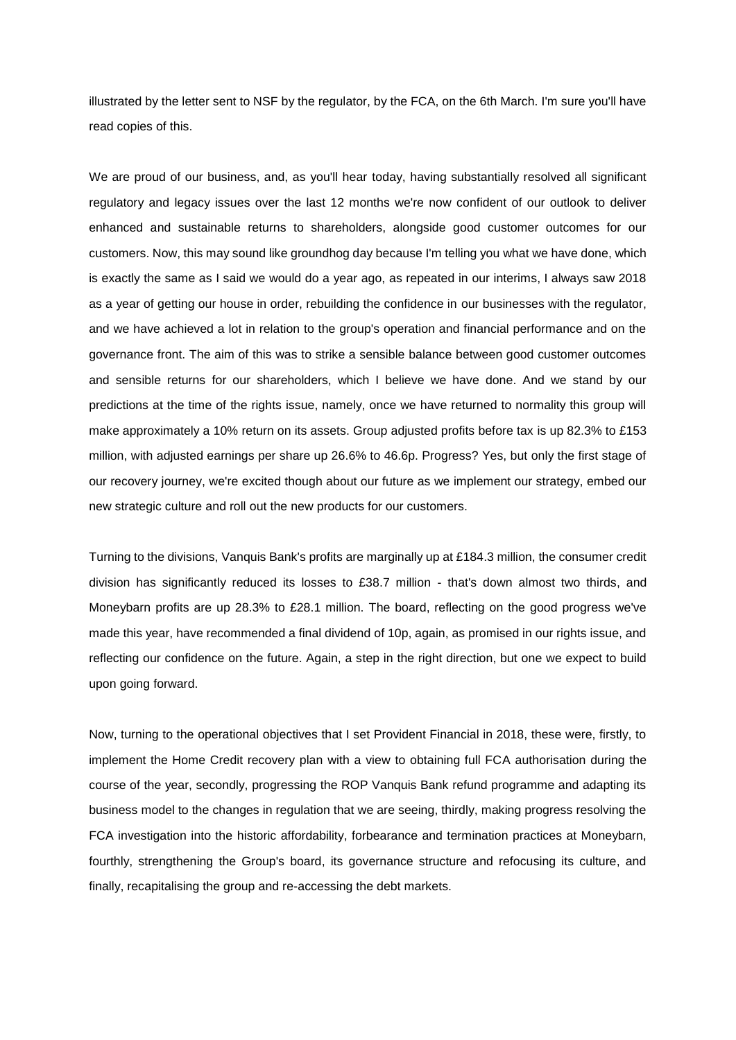illustrated by the letter sent to NSF by the regulator, by the FCA, on the 6th March. I'm sure you'll have read copies of this.

We are proud of our business, and, as you'll hear today, having substantially resolved all significant regulatory and legacy issues over the last 12 months we're now confident of our outlook to deliver enhanced and sustainable returns to shareholders, alongside good customer outcomes for our customers. Now, this may sound like groundhog day because I'm telling you what we have done, which is exactly the same as I said we would do a year ago, as repeated in our interims, I always saw 2018 as a year of getting our house in order, rebuilding the confidence in our businesses with the regulator, and we have achieved a lot in relation to the group's operation and financial performance and on the governance front. The aim of this was to strike a sensible balance between good customer outcomes and sensible returns for our shareholders, which I believe we have done. And we stand by our predictions at the time of the rights issue, namely, once we have returned to normality this group will make approximately a 10% return on its assets. Group adjusted profits before tax is up 82.3% to £153 million, with adjusted earnings per share up 26.6% to 46.6p. Progress? Yes, but only the first stage of our recovery journey, we're excited though about our future as we implement our strategy, embed our new strategic culture and roll out the new products for our customers.

Turning to the divisions, Vanquis Bank's profits are marginally up at £184.3 million, the consumer credit division has significantly reduced its losses to £38.7 million - that's down almost two thirds, and Moneybarn profits are up 28.3% to £28.1 million. The board, reflecting on the good progress we've made this year, have recommended a final dividend of 10p, again, as promised in our rights issue, and reflecting our confidence on the future. Again, a step in the right direction, but one we expect to build upon going forward.

Now, turning to the operational objectives that I set Provident Financial in 2018, these were, firstly, to implement the Home Credit recovery plan with a view to obtaining full FCA authorisation during the course of the year, secondly, progressing the ROP Vanquis Bank refund programme and adapting its business model to the changes in regulation that we are seeing, thirdly, making progress resolving the FCA investigation into the historic affordability, forbearance and termination practices at Moneybarn, fourthly, strengthening the Group's board, its governance structure and refocusing its culture, and finally, recapitalising the group and re-accessing the debt markets.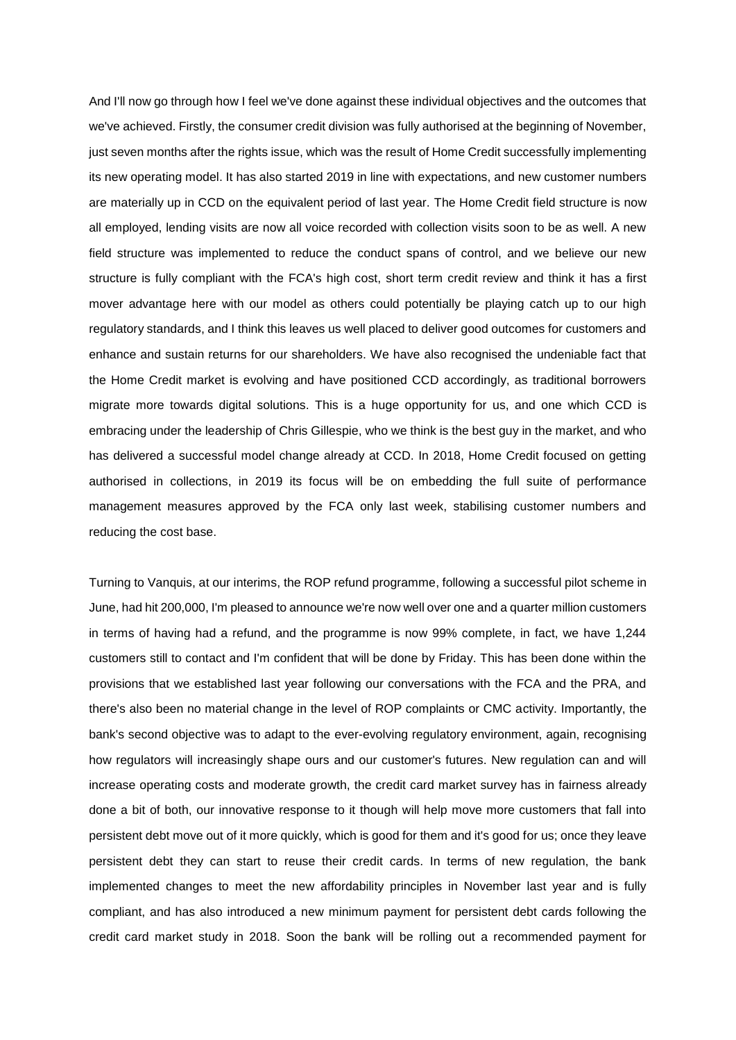And I'll now go through how I feel we've done against these individual objectives and the outcomes that we've achieved. Firstly, the consumer credit division was fully authorised at the beginning of November, just seven months after the rights issue, which was the result of Home Credit successfully implementing its new operating model. It has also started 2019 in line with expectations, and new customer numbers are materially up in CCD on the equivalent period of last year. The Home Credit field structure is now all employed, lending visits are now all voice recorded with collection visits soon to be as well. A new field structure was implemented to reduce the conduct spans of control, and we believe our new structure is fully compliant with the FCA's high cost, short term credit review and think it has a first mover advantage here with our model as others could potentially be playing catch up to our high regulatory standards, and I think this leaves us well placed to deliver good outcomes for customers and enhance and sustain returns for our shareholders. We have also recognised the undeniable fact that the Home Credit market is evolving and have positioned CCD accordingly, as traditional borrowers migrate more towards digital solutions. This is a huge opportunity for us, and one which CCD is embracing under the leadership of Chris Gillespie, who we think is the best guy in the market, and who has delivered a successful model change already at CCD. In 2018, Home Credit focused on getting authorised in collections, in 2019 its focus will be on embedding the full suite of performance management measures approved by the FCA only last week, stabilising customer numbers and reducing the cost base.

Turning to Vanquis, at our interims, the ROP refund programme, following a successful pilot scheme in June, had hit 200,000, I'm pleased to announce we're now well over one and a quarter million customers in terms of having had a refund, and the programme is now 99% complete, in fact, we have 1,244 customers still to contact and I'm confident that will be done by Friday. This has been done within the provisions that we established last year following our conversations with the FCA and the PRA, and there's also been no material change in the level of ROP complaints or CMC activity. Importantly, the bank's second objective was to adapt to the ever-evolving regulatory environment, again, recognising how regulators will increasingly shape ours and our customer's futures. New regulation can and will increase operating costs and moderate growth, the credit card market survey has in fairness already done a bit of both, our innovative response to it though will help move more customers that fall into persistent debt move out of it more quickly, which is good for them and it's good for us; once they leave persistent debt they can start to reuse their credit cards. In terms of new regulation, the bank implemented changes to meet the new affordability principles in November last year and is fully compliant, and has also introduced a new minimum payment for persistent debt cards following the credit card market study in 2018. Soon the bank will be rolling out a recommended payment for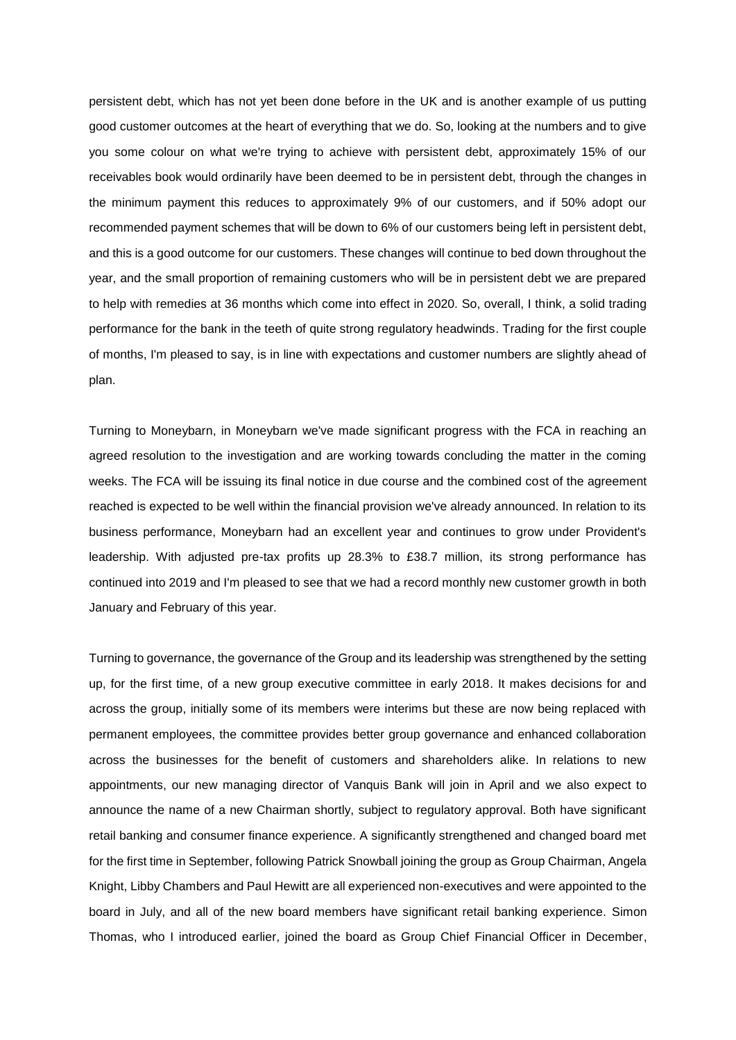persistent debt, which has not yet been done before in the UK and is another example of us putting good customer outcomes at the heart of everything that we do. So, looking at the numbers and to give you some colour on what we're trying to achieve with persistent debt, approximately 15% of our receivables book would ordinarily have been deemed to be in persistent debt, through the changes in the minimum payment this reduces to approximately 9% of our customers, and if 50% adopt our recommended payment schemes that will be down to 6% of our customers being left in persistent debt, and this is a good outcome for our customers. These changes will continue to bed down throughout the year, and the small proportion of remaining customers who will be in persistent debt we are prepared to help with remedies at 36 months which come into effect in 2020. So, overall, I think, a solid trading performance for the bank in the teeth of quite strong regulatory headwinds. Trading for the first couple of months, I'm pleased to say, is in line with expectations and customer numbers are slightly ahead of plan.

Turning to Moneybarn, in Moneybarn we've made significant progress with the FCA in reaching an agreed resolution to the investigation and are working towards concluding the matter in the coming weeks. The FCA will be issuing its final notice in due course and the combined cost of the agreement reached is expected to be well within the financial provision we've already announced. In relation to its business performance, Moneybarn had an excellent year and continues to grow under Provident's leadership. With adjusted pre-tax profits up 28.3% to £38.7 million, its strong performance has continued into 2019 and I'm pleased to see that we had a record monthly new customer growth in both January and February of this year.

Turning to governance, the governance of the Group and its leadership was strengthened by the setting up, for the first time, of a new group executive committee in early 2018. It makes decisions for and across the group, initially some of its members were interims but these are now being replaced with permanent employees, the committee provides better group governance and enhanced collaboration across the businesses for the benefit of customers and shareholders alike. In relations to new appointments, our new managing director of Vanquis Bank will join in April and we also expect to announce the name of a new Chairman shortly, subject to regulatory approval. Both have significant retail banking and consumer finance experience. A significantly strengthened and changed board met for the first time in September, following Patrick Snowball joining the group as Group Chairman, Angela Knight, Libby Chambers and Paul Hewitt are all experienced non-executives and were appointed to the board in July, and all of the new board members have significant retail banking experience. Simon Thomas, who I introduced earlier, joined the board as Group Chief Financial Officer in December,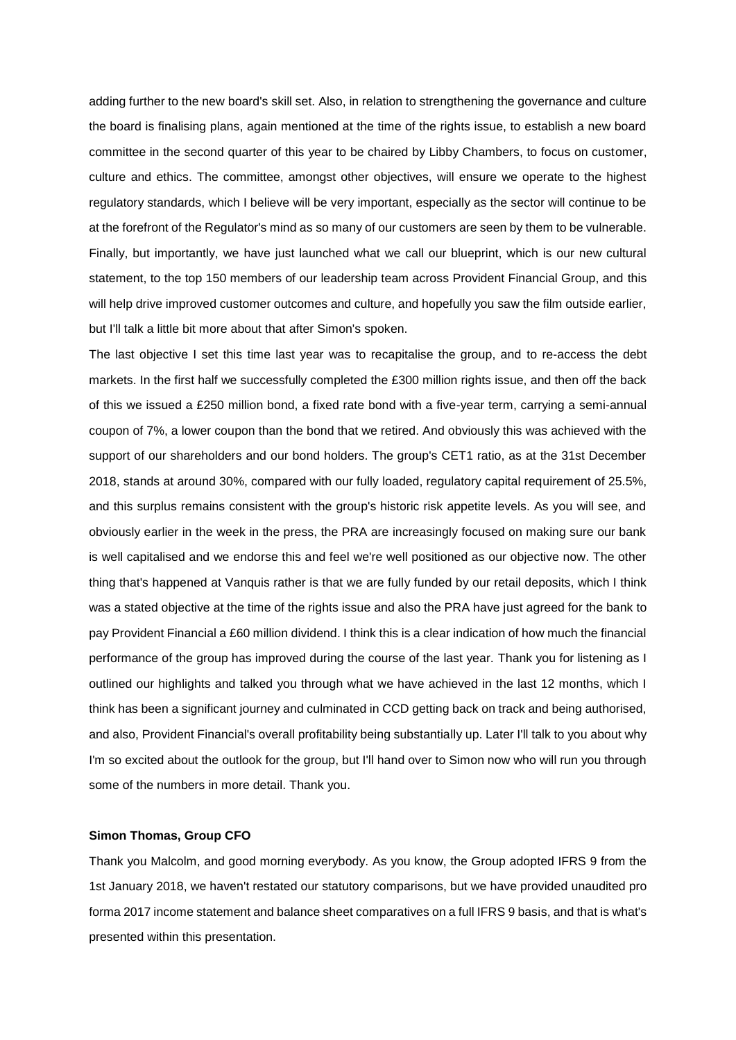adding further to the new board's skill set. Also, in relation to strengthening the governance and culture the board is finalising plans, again mentioned at the time of the rights issue, to establish a new board committee in the second quarter of this year to be chaired by Libby Chambers, to focus on customer, culture and ethics. The committee, amongst other objectives, will ensure we operate to the highest regulatory standards, which I believe will be very important, especially as the sector will continue to be at the forefront of the Regulator's mind as so many of our customers are seen by them to be vulnerable. Finally, but importantly, we have just launched what we call our blueprint, which is our new cultural statement, to the top 150 members of our leadership team across Provident Financial Group, and this will help drive improved customer outcomes and culture, and hopefully you saw the film outside earlier, but I'll talk a little bit more about that after Simon's spoken.

The last objective I set this time last year was to recapitalise the group, and to re-access the debt markets. In the first half we successfully completed the £300 million rights issue, and then off the back of this we issued a £250 million bond, a fixed rate bond with a five-year term, carrying a semi-annual coupon of 7%, a lower coupon than the bond that we retired. And obviously this was achieved with the support of our shareholders and our bond holders. The group's CET1 ratio, as at the 31st December 2018, stands at around 30%, compared with our fully loaded, regulatory capital requirement of 25.5%, and this surplus remains consistent with the group's historic risk appetite levels. As you will see, and obviously earlier in the week in the press, the PRA are increasingly focused on making sure our bank is well capitalised and we endorse this and feel we're well positioned as our objective now. The other thing that's happened at Vanquis rather is that we are fully funded by our retail deposits, which I think was a stated objective at the time of the rights issue and also the PRA have just agreed for the bank to pay Provident Financial a £60 million dividend. I think this is a clear indication of how much the financial performance of the group has improved during the course of the last year. Thank you for listening as I outlined our highlights and talked you through what we have achieved in the last 12 months, which I think has been a significant journey and culminated in CCD getting back on track and being authorised, and also, Provident Financial's overall profitability being substantially up. Later I'll talk to you about why I'm so excited about the outlook for the group, but I'll hand over to Simon now who will run you through some of the numbers in more detail. Thank you.

#### **Simon Thomas, Group CFO**

Thank you Malcolm, and good morning everybody. As you know, the Group adopted IFRS 9 from the 1st January 2018, we haven't restated our statutory comparisons, but we have provided unaudited pro forma 2017 income statement and balance sheet comparatives on a full IFRS 9 basis, and that is what's presented within this presentation.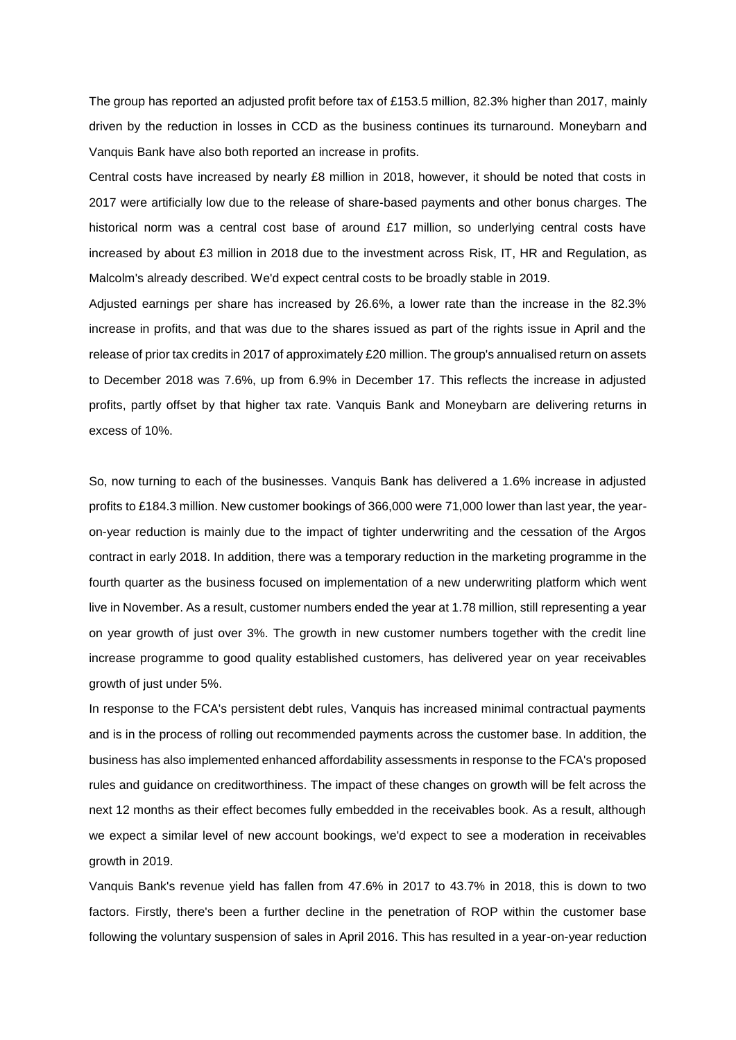The group has reported an adjusted profit before tax of £153.5 million, 82.3% higher than 2017, mainly driven by the reduction in losses in CCD as the business continues its turnaround. Moneybarn and Vanquis Bank have also both reported an increase in profits.

Central costs have increased by nearly £8 million in 2018, however, it should be noted that costs in 2017 were artificially low due to the release of share-based payments and other bonus charges. The historical norm was a central cost base of around £17 million, so underlying central costs have increased by about £3 million in 2018 due to the investment across Risk, IT, HR and Regulation, as Malcolm's already described. We'd expect central costs to be broadly stable in 2019.

Adjusted earnings per share has increased by 26.6%, a lower rate than the increase in the 82.3% increase in profits, and that was due to the shares issued as part of the rights issue in April and the release of prior tax credits in 2017 of approximately £20 million. The group's annualised return on assets to December 2018 was 7.6%, up from 6.9% in December 17. This reflects the increase in adjusted profits, partly offset by that higher tax rate. Vanquis Bank and Moneybarn are delivering returns in excess of 10%.

So, now turning to each of the businesses. Vanquis Bank has delivered a 1.6% increase in adjusted profits to £184.3 million. New customer bookings of 366,000 were 71,000 lower than last year, the yearon-year reduction is mainly due to the impact of tighter underwriting and the cessation of the Argos contract in early 2018. In addition, there was a temporary reduction in the marketing programme in the fourth quarter as the business focused on implementation of a new underwriting platform which went live in November. As a result, customer numbers ended the year at 1.78 million, still representing a year on year growth of just over 3%. The growth in new customer numbers together with the credit line increase programme to good quality established customers, has delivered year on year receivables growth of just under 5%.

In response to the FCA's persistent debt rules, Vanquis has increased minimal contractual payments and is in the process of rolling out recommended payments across the customer base. In addition, the business has also implemented enhanced affordability assessments in response to the FCA's proposed rules and guidance on creditworthiness. The impact of these changes on growth will be felt across the next 12 months as their effect becomes fully embedded in the receivables book. As a result, although we expect a similar level of new account bookings, we'd expect to see a moderation in receivables growth in 2019.

Vanquis Bank's revenue yield has fallen from 47.6% in 2017 to 43.7% in 2018, this is down to two factors. Firstly, there's been a further decline in the penetration of ROP within the customer base following the voluntary suspension of sales in April 2016. This has resulted in a year-on-year reduction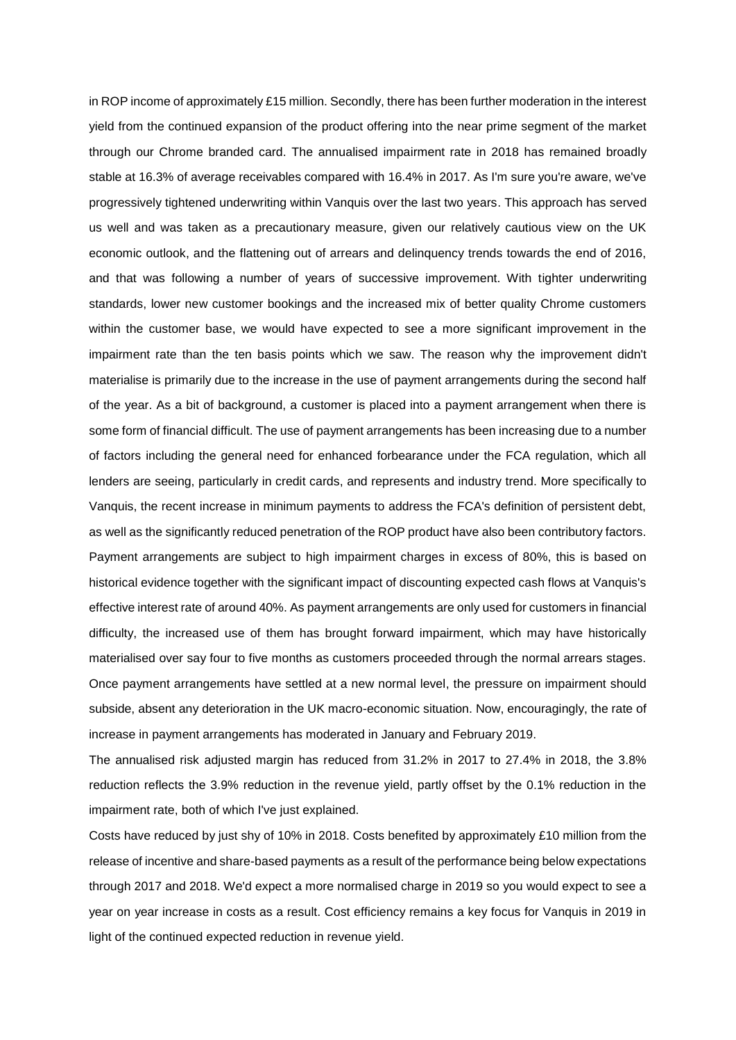in ROP income of approximately £15 million. Secondly, there has been further moderation in the interest yield from the continued expansion of the product offering into the near prime segment of the market through our Chrome branded card. The annualised impairment rate in 2018 has remained broadly stable at 16.3% of average receivables compared with 16.4% in 2017. As I'm sure you're aware, we've progressively tightened underwriting within Vanquis over the last two years. This approach has served us well and was taken as a precautionary measure, given our relatively cautious view on the UK economic outlook, and the flattening out of arrears and delinquency trends towards the end of 2016, and that was following a number of years of successive improvement. With tighter underwriting standards, lower new customer bookings and the increased mix of better quality Chrome customers within the customer base, we would have expected to see a more significant improvement in the impairment rate than the ten basis points which we saw. The reason why the improvement didn't materialise is primarily due to the increase in the use of payment arrangements during the second half of the year. As a bit of background, a customer is placed into a payment arrangement when there is some form of financial difficult. The use of payment arrangements has been increasing due to a number of factors including the general need for enhanced forbearance under the FCA regulation, which all lenders are seeing, particularly in credit cards, and represents and industry trend. More specifically to Vanquis, the recent increase in minimum payments to address the FCA's definition of persistent debt, as well as the significantly reduced penetration of the ROP product have also been contributory factors. Payment arrangements are subject to high impairment charges in excess of 80%, this is based on historical evidence together with the significant impact of discounting expected cash flows at Vanquis's effective interest rate of around 40%. As payment arrangements are only used for customers in financial difficulty, the increased use of them has brought forward impairment, which may have historically materialised over say four to five months as customers proceeded through the normal arrears stages. Once payment arrangements have settled at a new normal level, the pressure on impairment should subside, absent any deterioration in the UK macro-economic situation. Now, encouragingly, the rate of increase in payment arrangements has moderated in January and February 2019.

The annualised risk adjusted margin has reduced from 31.2% in 2017 to 27.4% in 2018, the 3.8% reduction reflects the 3.9% reduction in the revenue yield, partly offset by the 0.1% reduction in the impairment rate, both of which I've just explained.

Costs have reduced by just shy of 10% in 2018. Costs benefited by approximately £10 million from the release of incentive and share-based payments as a result of the performance being below expectations through 2017 and 2018. We'd expect a more normalised charge in 2019 so you would expect to see a year on year increase in costs as a result. Cost efficiency remains a key focus for Vanquis in 2019 in light of the continued expected reduction in revenue yield.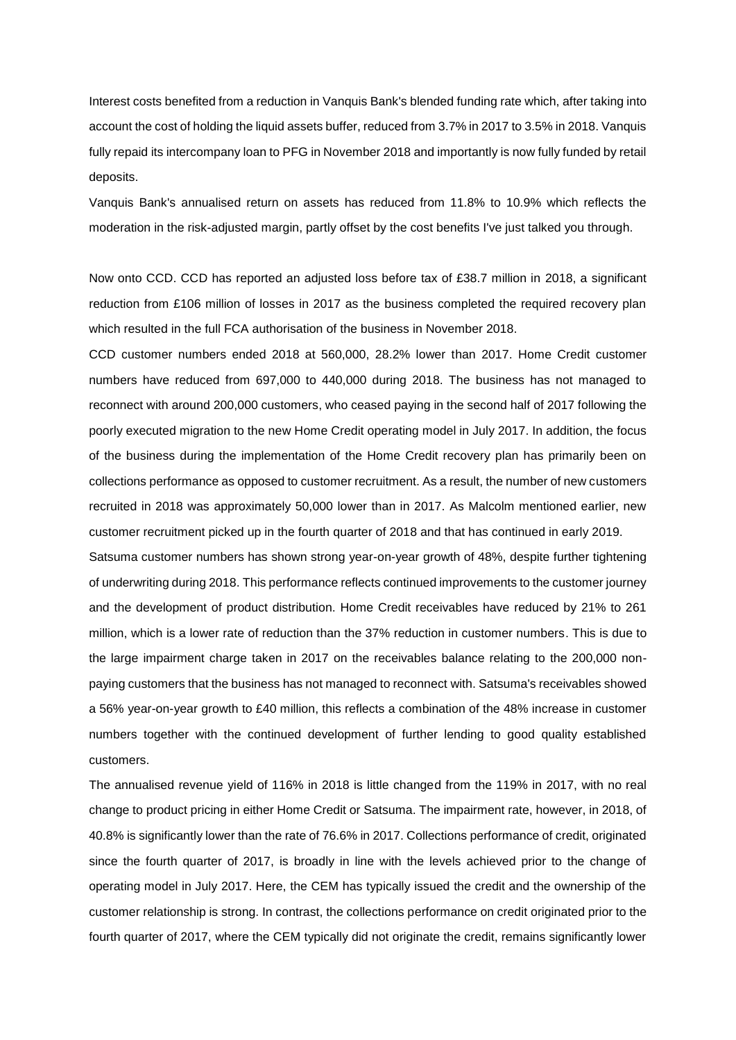Interest costs benefited from a reduction in Vanquis Bank's blended funding rate which, after taking into account the cost of holding the liquid assets buffer, reduced from 3.7% in 2017 to 3.5% in 2018. Vanquis fully repaid its intercompany loan to PFG in November 2018 and importantly is now fully funded by retail deposits.

Vanquis Bank's annualised return on assets has reduced from 11.8% to 10.9% which reflects the moderation in the risk-adjusted margin, partly offset by the cost benefits I've just talked you through.

Now onto CCD. CCD has reported an adjusted loss before tax of £38.7 million in 2018, a significant reduction from £106 million of losses in 2017 as the business completed the required recovery plan which resulted in the full FCA authorisation of the business in November 2018.

CCD customer numbers ended 2018 at 560,000, 28.2% lower than 2017. Home Credit customer numbers have reduced from 697,000 to 440,000 during 2018. The business has not managed to reconnect with around 200,000 customers, who ceased paying in the second half of 2017 following the poorly executed migration to the new Home Credit operating model in July 2017. In addition, the focus of the business during the implementation of the Home Credit recovery plan has primarily been on collections performance as opposed to customer recruitment. As a result, the number of new customers recruited in 2018 was approximately 50,000 lower than in 2017. As Malcolm mentioned earlier, new customer recruitment picked up in the fourth quarter of 2018 and that has continued in early 2019.

Satsuma customer numbers has shown strong year-on-year growth of 48%, despite further tightening of underwriting during 2018. This performance reflects continued improvements to the customer journey and the development of product distribution. Home Credit receivables have reduced by 21% to 261 million, which is a lower rate of reduction than the 37% reduction in customer numbers. This is due to the large impairment charge taken in 2017 on the receivables balance relating to the 200,000 nonpaying customers that the business has not managed to reconnect with. Satsuma's receivables showed a 56% year-on-year growth to £40 million, this reflects a combination of the 48% increase in customer numbers together with the continued development of further lending to good quality established customers.

The annualised revenue yield of 116% in 2018 is little changed from the 119% in 2017, with no real change to product pricing in either Home Credit or Satsuma. The impairment rate, however, in 2018, of 40.8% is significantly lower than the rate of 76.6% in 2017. Collections performance of credit, originated since the fourth quarter of 2017, is broadly in line with the levels achieved prior to the change of operating model in July 2017. Here, the CEM has typically issued the credit and the ownership of the customer relationship is strong. In contrast, the collections performance on credit originated prior to the fourth quarter of 2017, where the CEM typically did not originate the credit, remains significantly lower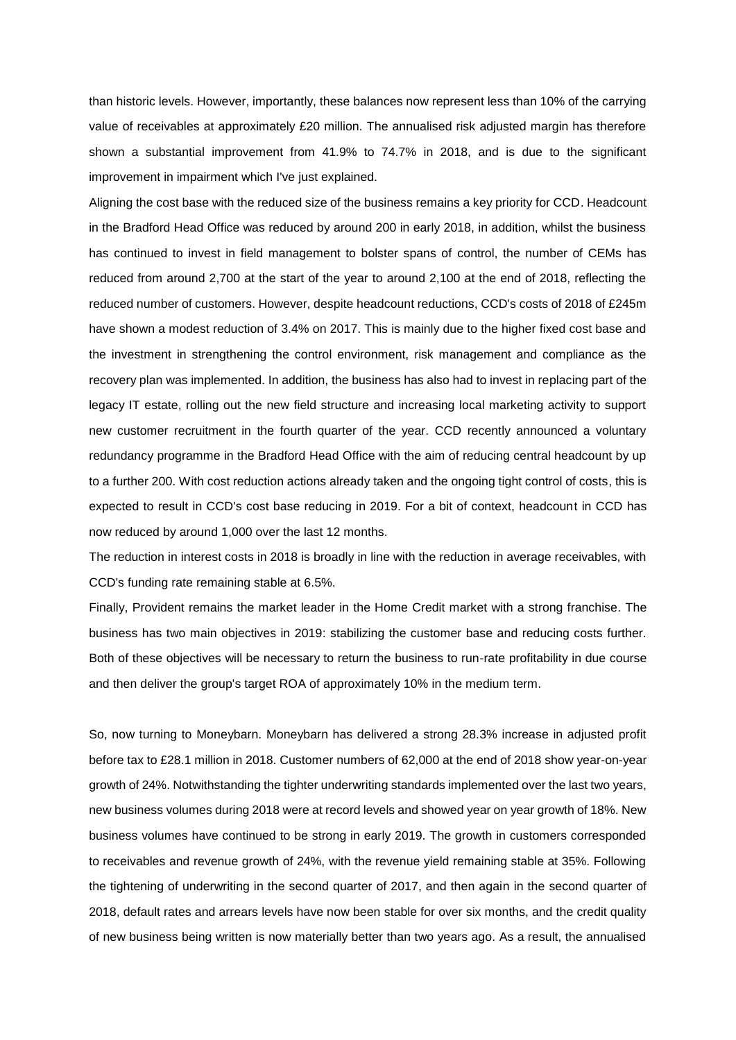than historic levels. However, importantly, these balances now represent less than 10% of the carrying value of receivables at approximately £20 million. The annualised risk adjusted margin has therefore shown a substantial improvement from 41.9% to 74.7% in 2018, and is due to the significant improvement in impairment which I've just explained.

Aligning the cost base with the reduced size of the business remains a key priority for CCD. Headcount in the Bradford Head Office was reduced by around 200 in early 2018, in addition, whilst the business has continued to invest in field management to bolster spans of control, the number of CEMs has reduced from around 2,700 at the start of the year to around 2,100 at the end of 2018, reflecting the reduced number of customers. However, despite headcount reductions, CCD's costs of 2018 of £245m have shown a modest reduction of 3.4% on 2017. This is mainly due to the higher fixed cost base and the investment in strengthening the control environment, risk management and compliance as the recovery plan was implemented. In addition, the business has also had to invest in replacing part of the legacy IT estate, rolling out the new field structure and increasing local marketing activity to support new customer recruitment in the fourth quarter of the year. CCD recently announced a voluntary redundancy programme in the Bradford Head Office with the aim of reducing central headcount by up to a further 200. With cost reduction actions already taken and the ongoing tight control of costs, this is expected to result in CCD's cost base reducing in 2019. For a bit of context, headcount in CCD has now reduced by around 1,000 over the last 12 months.

The reduction in interest costs in 2018 is broadly in line with the reduction in average receivables, with CCD's funding rate remaining stable at 6.5%.

Finally, Provident remains the market leader in the Home Credit market with a strong franchise. The business has two main objectives in 2019: stabilizing the customer base and reducing costs further. Both of these objectives will be necessary to return the business to run-rate profitability in due course and then deliver the group's target ROA of approximately 10% in the medium term.

So, now turning to Moneybarn. Moneybarn has delivered a strong 28.3% increase in adjusted profit before tax to £28.1 million in 2018. Customer numbers of 62,000 at the end of 2018 show year-on-year growth of 24%. Notwithstanding the tighter underwriting standards implemented over the last two years, new business volumes during 2018 were at record levels and showed year on year growth of 18%. New business volumes have continued to be strong in early 2019. The growth in customers corresponded to receivables and revenue growth of 24%, with the revenue yield remaining stable at 35%. Following the tightening of underwriting in the second quarter of 2017, and then again in the second quarter of 2018, default rates and arrears levels have now been stable for over six months, and the credit quality of new business being written is now materially better than two years ago. As a result, the annualised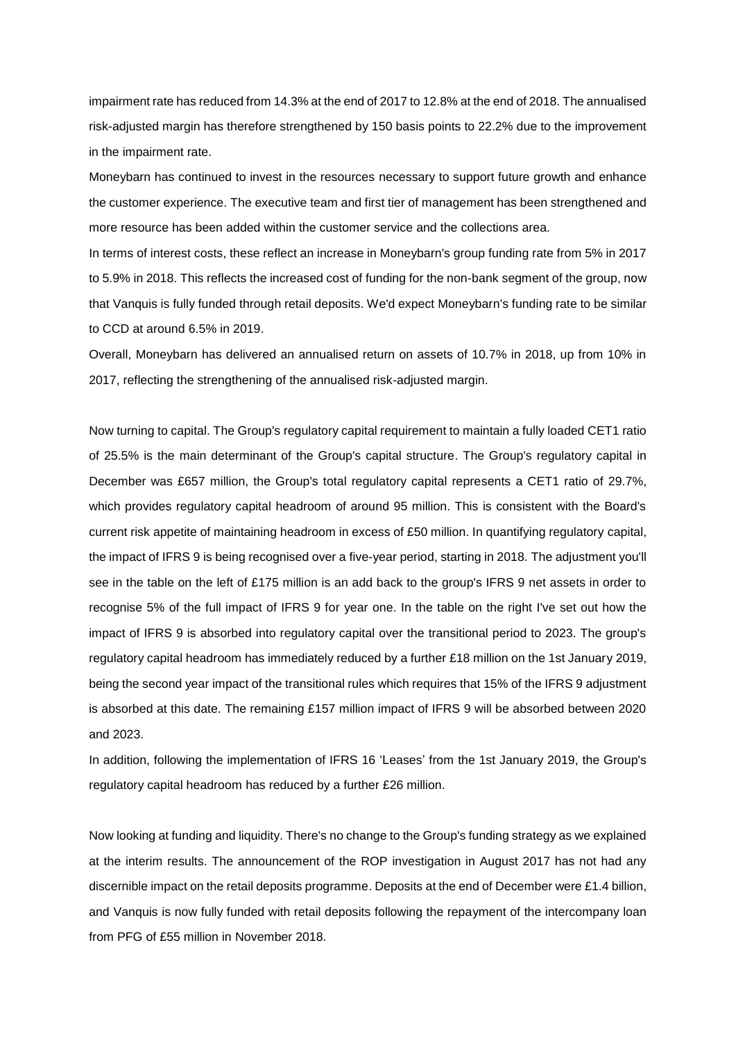impairment rate has reduced from 14.3% at the end of 2017 to 12.8% at the end of 2018. The annualised risk-adjusted margin has therefore strengthened by 150 basis points to 22.2% due to the improvement in the impairment rate.

Moneybarn has continued to invest in the resources necessary to support future growth and enhance the customer experience. The executive team and first tier of management has been strengthened and more resource has been added within the customer service and the collections area.

In terms of interest costs, these reflect an increase in Moneybarn's group funding rate from 5% in 2017 to 5.9% in 2018. This reflects the increased cost of funding for the non-bank segment of the group, now that Vanquis is fully funded through retail deposits. We'd expect Moneybarn's funding rate to be similar to CCD at around 6.5% in 2019.

Overall, Moneybarn has delivered an annualised return on assets of 10.7% in 2018, up from 10% in 2017, reflecting the strengthening of the annualised risk-adjusted margin.

Now turning to capital. The Group's regulatory capital requirement to maintain a fully loaded CET1 ratio of 25.5% is the main determinant of the Group's capital structure. The Group's regulatory capital in December was £657 million, the Group's total regulatory capital represents a CET1 ratio of 29.7%, which provides regulatory capital headroom of around 95 million. This is consistent with the Board's current risk appetite of maintaining headroom in excess of £50 million. In quantifying regulatory capital, the impact of IFRS 9 is being recognised over a five-year period, starting in 2018. The adjustment you'll see in the table on the left of £175 million is an add back to the group's IFRS 9 net assets in order to recognise 5% of the full impact of IFRS 9 for year one. In the table on the right I've set out how the impact of IFRS 9 is absorbed into regulatory capital over the transitional period to 2023. The group's regulatory capital headroom has immediately reduced by a further £18 million on the 1st January 2019, being the second year impact of the transitional rules which requires that 15% of the IFRS 9 adjustment is absorbed at this date. The remaining £157 million impact of IFRS 9 will be absorbed between 2020 and 2023.

In addition, following the implementation of IFRS 16 'Leases' from the 1st January 2019, the Group's regulatory capital headroom has reduced by a further £26 million.

Now looking at funding and liquidity. There's no change to the Group's funding strategy as we explained at the interim results. The announcement of the ROP investigation in August 2017 has not had any discernible impact on the retail deposits programme. Deposits at the end of December were £1.4 billion, and Vanquis is now fully funded with retail deposits following the repayment of the intercompany loan from PFG of £55 million in November 2018.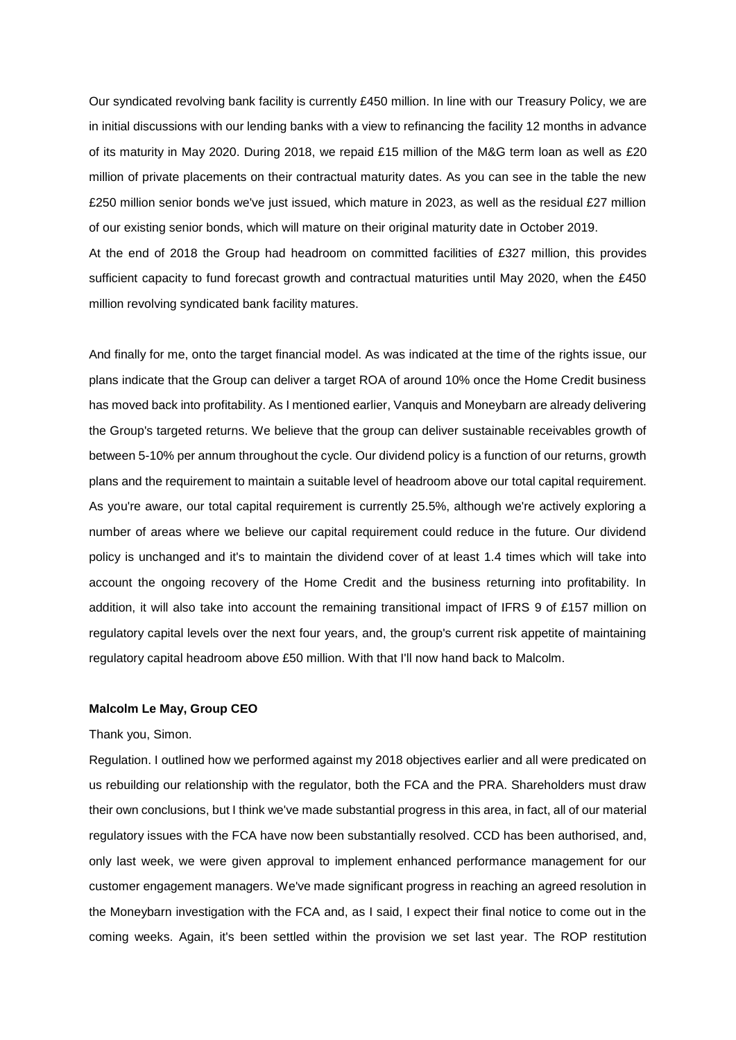Our syndicated revolving bank facility is currently £450 million. In line with our Treasury Policy, we are in initial discussions with our lending banks with a view to refinancing the facility 12 months in advance of its maturity in May 2020. During 2018, we repaid £15 million of the M&G term loan as well as £20 million of private placements on their contractual maturity dates. As you can see in the table the new £250 million senior bonds we've just issued, which mature in 2023, as well as the residual £27 million of our existing senior bonds, which will mature on their original maturity date in October 2019. At the end of 2018 the Group had headroom on committed facilities of £327 million, this provides sufficient capacity to fund forecast growth and contractual maturities until May 2020, when the £450

And finally for me, onto the target financial model. As was indicated at the time of the rights issue, our plans indicate that the Group can deliver a target ROA of around 10% once the Home Credit business has moved back into profitability. As I mentioned earlier, Vanquis and Moneybarn are already delivering the Group's targeted returns. We believe that the group can deliver sustainable receivables growth of between 5-10% per annum throughout the cycle. Our dividend policy is a function of our returns, growth plans and the requirement to maintain a suitable level of headroom above our total capital requirement. As you're aware, our total capital requirement is currently 25.5%, although we're actively exploring a number of areas where we believe our capital requirement could reduce in the future. Our dividend policy is unchanged and it's to maintain the dividend cover of at least 1.4 times which will take into account the ongoing recovery of the Home Credit and the business returning into profitability. In addition, it will also take into account the remaining transitional impact of IFRS 9 of £157 million on regulatory capital levels over the next four years, and, the group's current risk appetite of maintaining regulatory capital headroom above £50 million. With that I'll now hand back to Malcolm.

#### **Malcolm Le May, Group CEO**

million revolving syndicated bank facility matures.

## Thank you, Simon.

Regulation. I outlined how we performed against my 2018 objectives earlier and all were predicated on us rebuilding our relationship with the regulator, both the FCA and the PRA. Shareholders must draw their own conclusions, but I think we've made substantial progress in this area, in fact, all of our material regulatory issues with the FCA have now been substantially resolved. CCD has been authorised, and, only last week, we were given approval to implement enhanced performance management for our customer engagement managers. We've made significant progress in reaching an agreed resolution in the Moneybarn investigation with the FCA and, as I said, I expect their final notice to come out in the coming weeks. Again, it's been settled within the provision we set last year. The ROP restitution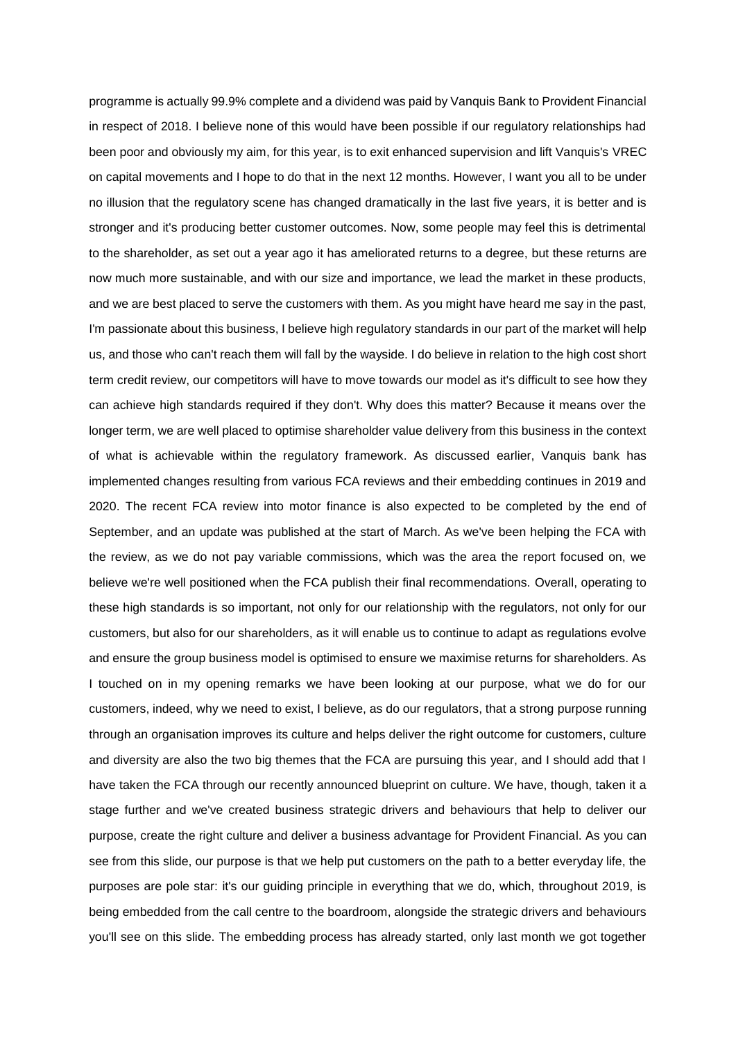programme is actually 99.9% complete and a dividend was paid by Vanquis Bank to Provident Financial in respect of 2018. I believe none of this would have been possible if our regulatory relationships had been poor and obviously my aim, for this year, is to exit enhanced supervision and lift Vanquis's VREC on capital movements and I hope to do that in the next 12 months. However, I want you all to be under no illusion that the regulatory scene has changed dramatically in the last five years, it is better and is stronger and it's producing better customer outcomes. Now, some people may feel this is detrimental to the shareholder, as set out a year ago it has ameliorated returns to a degree, but these returns are now much more sustainable, and with our size and importance, we lead the market in these products, and we are best placed to serve the customers with them. As you might have heard me say in the past, I'm passionate about this business, I believe high regulatory standards in our part of the market will help us, and those who can't reach them will fall by the wayside. I do believe in relation to the high cost short term credit review, our competitors will have to move towards our model as it's difficult to see how they can achieve high standards required if they don't. Why does this matter? Because it means over the longer term, we are well placed to optimise shareholder value delivery from this business in the context of what is achievable within the regulatory framework. As discussed earlier, Vanquis bank has implemented changes resulting from various FCA reviews and their embedding continues in 2019 and 2020. The recent FCA review into motor finance is also expected to be completed by the end of September, and an update was published at the start of March. As we've been helping the FCA with the review, as we do not pay variable commissions, which was the area the report focused on, we believe we're well positioned when the FCA publish their final recommendations. Overall, operating to these high standards is so important, not only for our relationship with the regulators, not only for our customers, but also for our shareholders, as it will enable us to continue to adapt as regulations evolve and ensure the group business model is optimised to ensure we maximise returns for shareholders. As I touched on in my opening remarks we have been looking at our purpose, what we do for our customers, indeed, why we need to exist, I believe, as do our regulators, that a strong purpose running through an organisation improves its culture and helps deliver the right outcome for customers, culture and diversity are also the two big themes that the FCA are pursuing this year, and I should add that I have taken the FCA through our recently announced blueprint on culture. We have, though, taken it a stage further and we've created business strategic drivers and behaviours that help to deliver our purpose, create the right culture and deliver a business advantage for Provident Financial. As you can see from this slide, our purpose is that we help put customers on the path to a better everyday life, the purposes are pole star: it's our guiding principle in everything that we do, which, throughout 2019, is being embedded from the call centre to the boardroom, alongside the strategic drivers and behaviours you'll see on this slide. The embedding process has already started, only last month we got together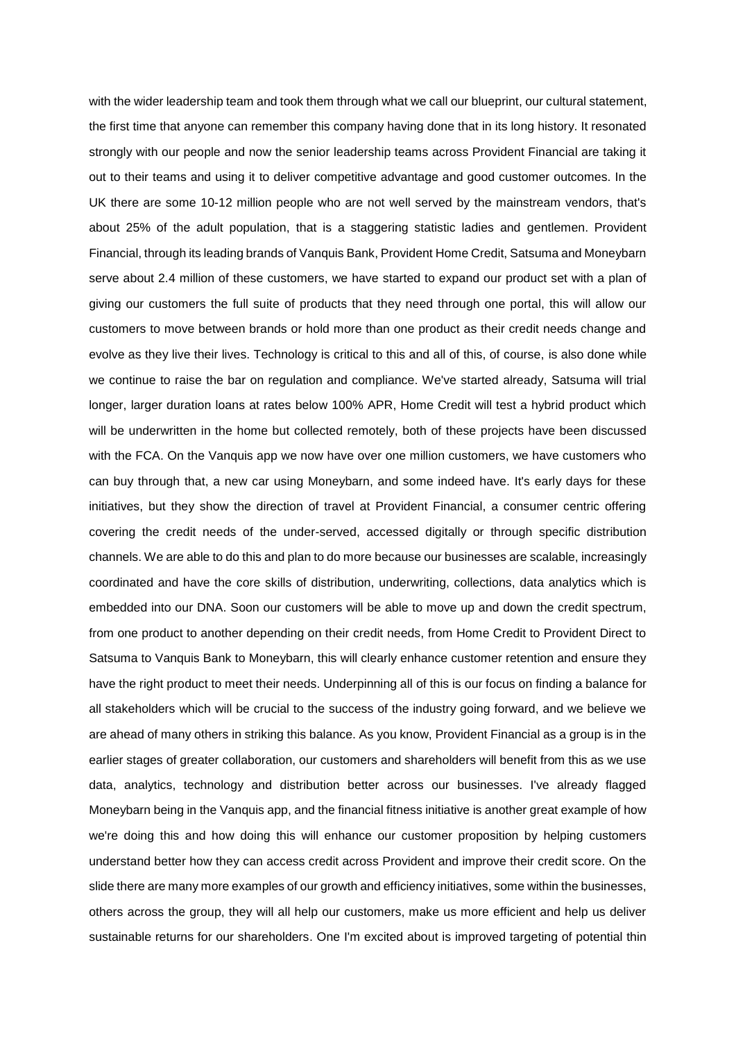with the wider leadership team and took them through what we call our blueprint, our cultural statement, the first time that anyone can remember this company having done that in its long history. It resonated strongly with our people and now the senior leadership teams across Provident Financial are taking it out to their teams and using it to deliver competitive advantage and good customer outcomes. In the UK there are some 10-12 million people who are not well served by the mainstream vendors, that's about 25% of the adult population, that is a staggering statistic ladies and gentlemen. Provident Financial, through its leading brands of Vanquis Bank, Provident Home Credit, Satsuma and Moneybarn serve about 2.4 million of these customers, we have started to expand our product set with a plan of giving our customers the full suite of products that they need through one portal, this will allow our customers to move between brands or hold more than one product as their credit needs change and evolve as they live their lives. Technology is critical to this and all of this, of course, is also done while we continue to raise the bar on regulation and compliance. We've started already, Satsuma will trial longer, larger duration loans at rates below 100% APR, Home Credit will test a hybrid product which will be underwritten in the home but collected remotely, both of these projects have been discussed with the FCA. On the Vanquis app we now have over one million customers, we have customers who can buy through that, a new car using Moneybarn, and some indeed have. It's early days for these initiatives, but they show the direction of travel at Provident Financial, a consumer centric offering covering the credit needs of the under-served, accessed digitally or through specific distribution channels. We are able to do this and plan to do more because our businesses are scalable, increasingly coordinated and have the core skills of distribution, underwriting, collections, data analytics which is embedded into our DNA. Soon our customers will be able to move up and down the credit spectrum, from one product to another depending on their credit needs, from Home Credit to Provident Direct to Satsuma to Vanquis Bank to Moneybarn, this will clearly enhance customer retention and ensure they have the right product to meet their needs. Underpinning all of this is our focus on finding a balance for all stakeholders which will be crucial to the success of the industry going forward, and we believe we are ahead of many others in striking this balance. As you know, Provident Financial as a group is in the earlier stages of greater collaboration, our customers and shareholders will benefit from this as we use data, analytics, technology and distribution better across our businesses. I've already flagged Moneybarn being in the Vanquis app, and the financial fitness initiative is another great example of how we're doing this and how doing this will enhance our customer proposition by helping customers understand better how they can access credit across Provident and improve their credit score. On the slide there are many more examples of our growth and efficiency initiatives, some within the businesses, others across the group, they will all help our customers, make us more efficient and help us deliver sustainable returns for our shareholders. One I'm excited about is improved targeting of potential thin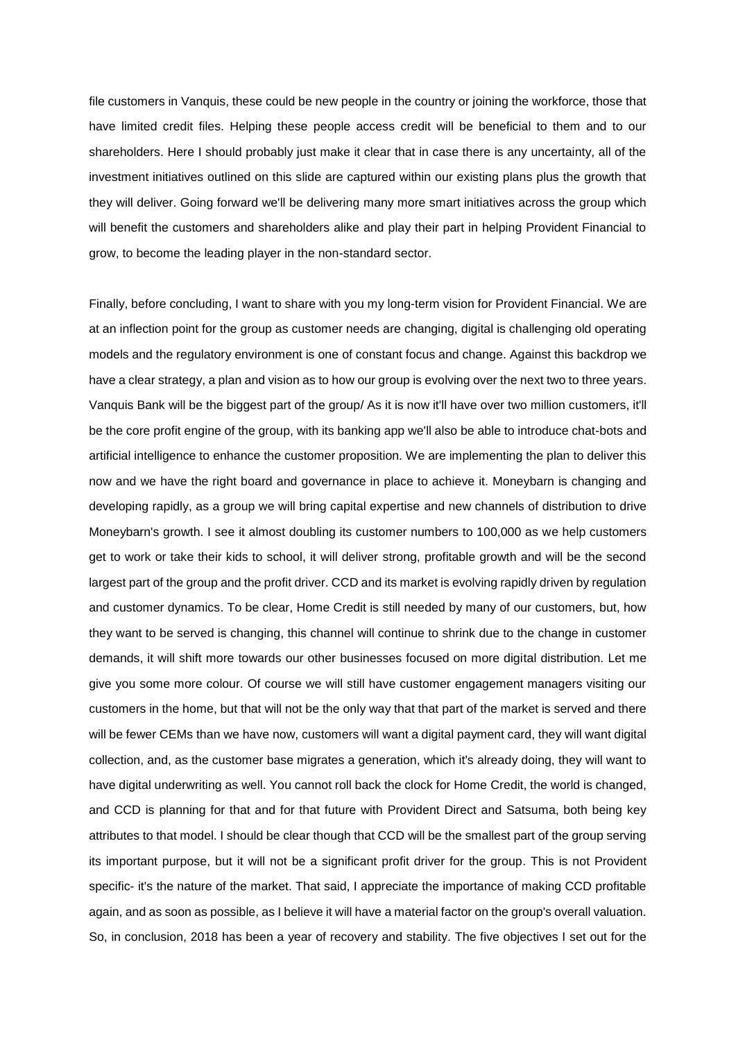file customers in Vanquis, these could be new people in the country or joining the workforce, those that have limited credit files. Helping these people access credit will be beneficial to them and to our shareholders. Here I should probably just make it clear that in case there is any uncertainty, all of the investment initiatives outlined on this slide are captured within our existing plans plus the growth that they will deliver. Going forward we'll be delivering many more smart initiatives across the group which will benefit the customers and shareholders alike and play their part in helping Provident Financial to grow, to become the leading player in the non-standard sector.

Finally, before concluding, I want to share with you my long-term vision for Provident Financial. We are at an inflection point for the group as customer needs are changing, digital is challenging old operating models and the regulatory environment is one of constant focus and change. Against this backdrop we have a clear strategy, a plan and vision as to how our group is evolving over the next two to three years. Vanquis Bank will be the biggest part of the group/ As it is now it'll have over two million customers, it'll be the core profit engine of the group, with its banking app we'll also be able to introduce chat-bots and artificial intelligence to enhance the customer proposition. We are implementing the plan to deliver this now and we have the right board and governance in place to achieve it. Moneybarn is changing and developing rapidly, as a group we will bring capital expertise and new channels of distribution to drive Moneybarn's growth. I see it almost doubling its customer numbers to 100,000 as we help customers get to work or take their kids to school, it will deliver strong, profitable growth and will be the second largest part of the group and the profit driver. CCD and its market is evolving rapidly driven by regulation and customer dynamics. To be clear, Home Credit is still needed by many of our customers, but, how they want to be served is changing, this channel will continue to shrink due to the change in customer demands, it will shift more towards our other businesses focused on more digital distribution. Let me give you some more colour. Of course we will still have customer engagement managers visiting our customers in the home, but that will not be the only way that that part of the market is served and there will be fewer CEMs than we have now, customers will want a digital payment card, they will want digital collection, and, as the customer base migrates a generation, which it's already doing, they will want to have digital underwriting as well. You cannot roll back the clock for Home Credit, the world is changed, and CCD is planning for that and for that future with Provident Direct and Satsuma, both being key attributes to that model. I should be clear though that CCD will be the smallest part of the group serving its important purpose, but it will not be a significant profit driver for the group. This is not Provident specific- it's the nature of the market. That said, I appreciate the importance of making CCD profitable again, and as soon as possible, as I believe it will have a material factor on the group's overall valuation. So, in conclusion, 2018 has been a year of recovery and stability. The five objectives I set out for the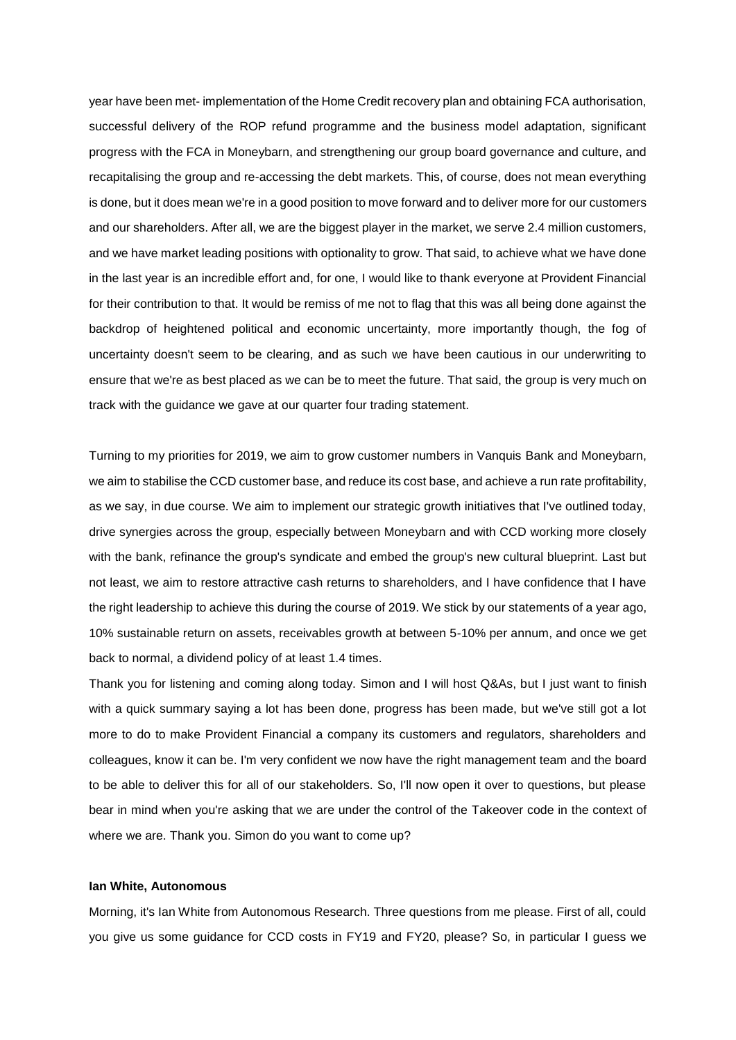year have been met- implementation of the Home Credit recovery plan and obtaining FCA authorisation, successful delivery of the ROP refund programme and the business model adaptation, significant progress with the FCA in Moneybarn, and strengthening our group board governance and culture, and recapitalising the group and re-accessing the debt markets. This, of course, does not mean everything is done, but it does mean we're in a good position to move forward and to deliver more for our customers and our shareholders. After all, we are the biggest player in the market, we serve 2.4 million customers, and we have market leading positions with optionality to grow. That said, to achieve what we have done in the last year is an incredible effort and, for one, I would like to thank everyone at Provident Financial for their contribution to that. It would be remiss of me not to flag that this was all being done against the backdrop of heightened political and economic uncertainty, more importantly though, the fog of uncertainty doesn't seem to be clearing, and as such we have been cautious in our underwriting to ensure that we're as best placed as we can be to meet the future. That said, the group is very much on track with the guidance we gave at our quarter four trading statement.

Turning to my priorities for 2019, we aim to grow customer numbers in Vanquis Bank and Moneybarn, we aim to stabilise the CCD customer base, and reduce its cost base, and achieve a run rate profitability, as we say, in due course. We aim to implement our strategic growth initiatives that I've outlined today, drive synergies across the group, especially between Moneybarn and with CCD working more closely with the bank, refinance the group's syndicate and embed the group's new cultural blueprint. Last but not least, we aim to restore attractive cash returns to shareholders, and I have confidence that I have the right leadership to achieve this during the course of 2019. We stick by our statements of a year ago, 10% sustainable return on assets, receivables growth at between 5-10% per annum, and once we get back to normal, a dividend policy of at least 1.4 times.

Thank you for listening and coming along today. Simon and I will host Q&As, but I just want to finish with a quick summary saying a lot has been done, progress has been made, but we've still got a lot more to do to make Provident Financial a company its customers and regulators, shareholders and colleagues, know it can be. I'm very confident we now have the right management team and the board to be able to deliver this for all of our stakeholders. So, I'll now open it over to questions, but please bear in mind when you're asking that we are under the control of the Takeover code in the context of where we are. Thank you. Simon do you want to come up?

#### **Ian White, Autonomous**

Morning, it's Ian White from Autonomous Research. Three questions from me please. First of all, could you give us some guidance for CCD costs in FY19 and FY20, please? So, in particular I guess we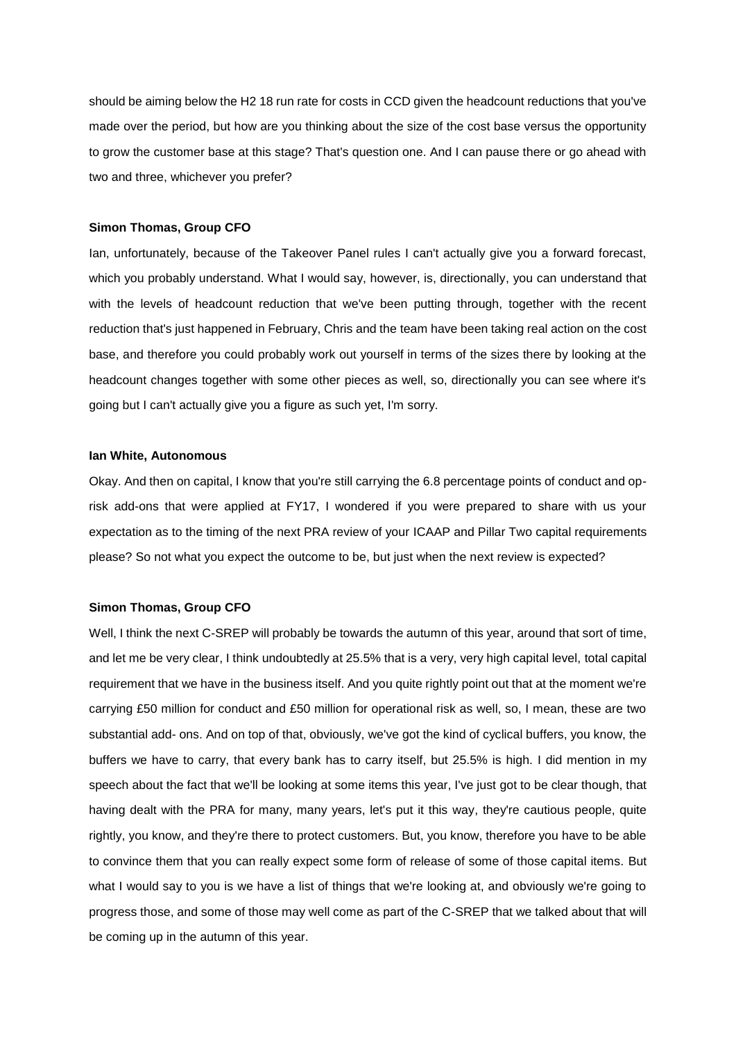should be aiming below the H2 18 run rate for costs in CCD given the headcount reductions that you've made over the period, but how are you thinking about the size of the cost base versus the opportunity to grow the customer base at this stage? That's question one. And I can pause there or go ahead with two and three, whichever you prefer?

#### **Simon Thomas, Group CFO**

Ian, unfortunately, because of the Takeover Panel rules I can't actually give you a forward forecast, which you probably understand. What I would say, however, is, directionally, you can understand that with the levels of headcount reduction that we've been putting through, together with the recent reduction that's just happened in February, Chris and the team have been taking real action on the cost base, and therefore you could probably work out yourself in terms of the sizes there by looking at the headcount changes together with some other pieces as well, so, directionally you can see where it's going but I can't actually give you a figure as such yet, I'm sorry.

# **Ian White, Autonomous**

Okay. And then on capital, I know that you're still carrying the 6.8 percentage points of conduct and oprisk add-ons that were applied at FY17, I wondered if you were prepared to share with us your expectation as to the timing of the next PRA review of your ICAAP and Pillar Two capital requirements please? So not what you expect the outcome to be, but just when the next review is expected?

#### **Simon Thomas, Group CFO**

Well, I think the next C-SREP will probably be towards the autumn of this year, around that sort of time, and let me be very clear, I think undoubtedly at 25.5% that is a very, very high capital level, total capital requirement that we have in the business itself. And you quite rightly point out that at the moment we're carrying £50 million for conduct and £50 million for operational risk as well, so, I mean, these are two substantial add- ons. And on top of that, obviously, we've got the kind of cyclical buffers, you know, the buffers we have to carry, that every bank has to carry itself, but 25.5% is high. I did mention in my speech about the fact that we'll be looking at some items this year, I've just got to be clear though, that having dealt with the PRA for many, many years, let's put it this way, they're cautious people, quite rightly, you know, and they're there to protect customers. But, you know, therefore you have to be able to convince them that you can really expect some form of release of some of those capital items. But what I would say to you is we have a list of things that we're looking at, and obviously we're going to progress those, and some of those may well come as part of the C-SREP that we talked about that will be coming up in the autumn of this year.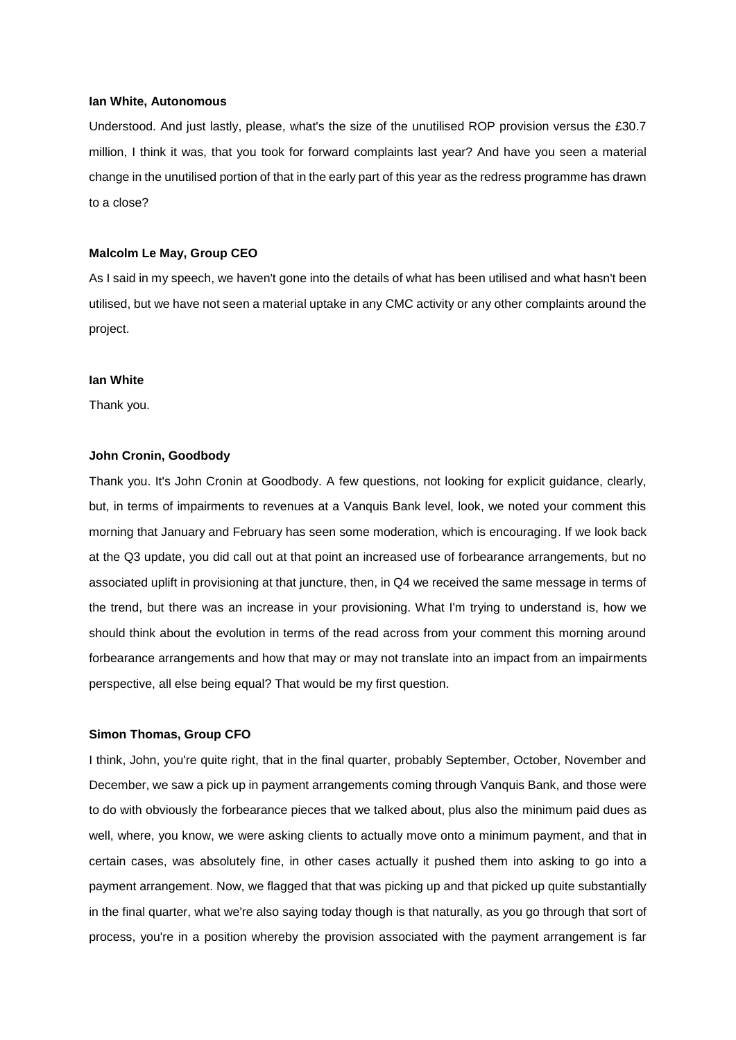#### **Ian White, Autonomous**

Understood. And just lastly, please, what's the size of the unutilised ROP provision versus the £30.7 million, I think it was, that you took for forward complaints last year? And have you seen a material change in the unutilised portion of that in the early part of this year as the redress programme has drawn to a close?

#### **Malcolm Le May, Group CEO**

As I said in my speech, we haven't gone into the details of what has been utilised and what hasn't been utilised, but we have not seen a material uptake in any CMC activity or any other complaints around the project.

#### **Ian White**

Thank you.

#### **John Cronin, Goodbody**

Thank you. It's John Cronin at Goodbody. A few questions, not looking for explicit guidance, clearly, but, in terms of impairments to revenues at a Vanquis Bank level, look, we noted your comment this morning that January and February has seen some moderation, which is encouraging. If we look back at the Q3 update, you did call out at that point an increased use of forbearance arrangements, but no associated uplift in provisioning at that juncture, then, in Q4 we received the same message in terms of the trend, but there was an increase in your provisioning. What I'm trying to understand is, how we should think about the evolution in terms of the read across from your comment this morning around forbearance arrangements and how that may or may not translate into an impact from an impairments perspective, all else being equal? That would be my first question.

#### **Simon Thomas, Group CFO**

I think, John, you're quite right, that in the final quarter, probably September, October, November and December, we saw a pick up in payment arrangements coming through Vanquis Bank, and those were to do with obviously the forbearance pieces that we talked about, plus also the minimum paid dues as well, where, you know, we were asking clients to actually move onto a minimum payment, and that in certain cases, was absolutely fine, in other cases actually it pushed them into asking to go into a payment arrangement. Now, we flagged that that was picking up and that picked up quite substantially in the final quarter, what we're also saying today though is that naturally, as you go through that sort of process, you're in a position whereby the provision associated with the payment arrangement is far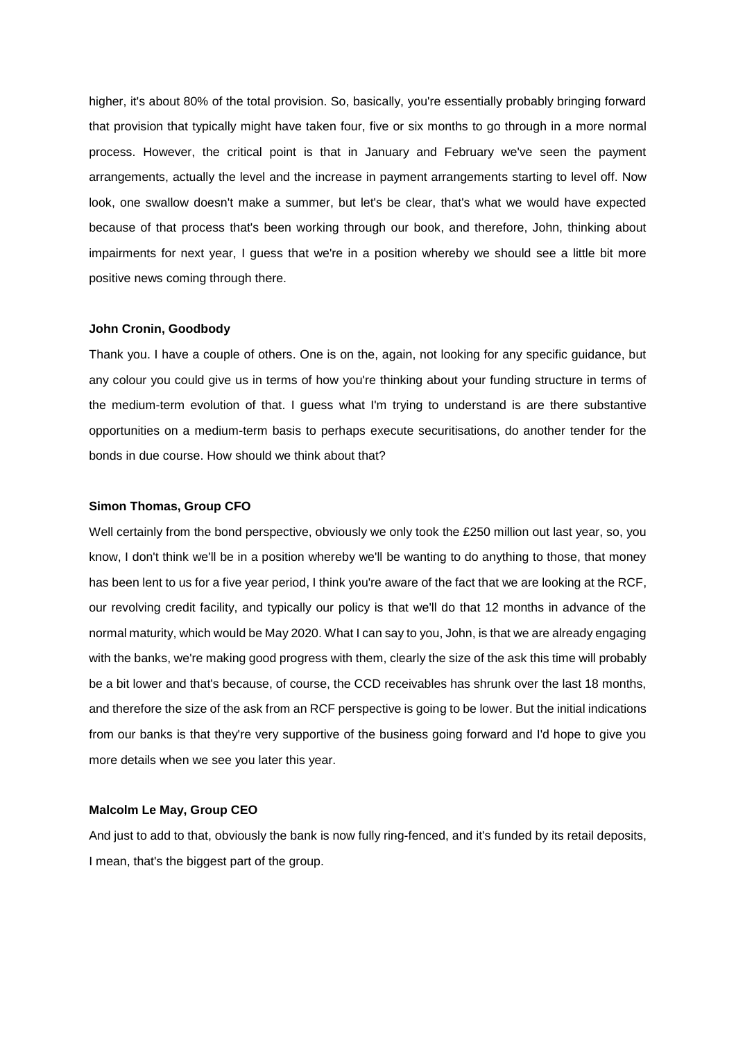higher, it's about 80% of the total provision. So, basically, you're essentially probably bringing forward that provision that typically might have taken four, five or six months to go through in a more normal process. However, the critical point is that in January and February we've seen the payment arrangements, actually the level and the increase in payment arrangements starting to level off. Now look, one swallow doesn't make a summer, but let's be clear, that's what we would have expected because of that process that's been working through our book, and therefore, John, thinking about impairments for next year, I guess that we're in a position whereby we should see a little bit more positive news coming through there.

#### **John Cronin, Goodbody**

Thank you. I have a couple of others. One is on the, again, not looking for any specific guidance, but any colour you could give us in terms of how you're thinking about your funding structure in terms of the medium-term evolution of that. I guess what I'm trying to understand is are there substantive opportunities on a medium-term basis to perhaps execute securitisations, do another tender for the bonds in due course. How should we think about that?

## **Simon Thomas, Group CFO**

Well certainly from the bond perspective, obviously we only took the £250 million out last year, so, you know, I don't think we'll be in a position whereby we'll be wanting to do anything to those, that money has been lent to us for a five year period, I think you're aware of the fact that we are looking at the RCF, our revolving credit facility, and typically our policy is that we'll do that 12 months in advance of the normal maturity, which would be May 2020. What I can say to you, John, is that we are already engaging with the banks, we're making good progress with them, clearly the size of the ask this time will probably be a bit lower and that's because, of course, the CCD receivables has shrunk over the last 18 months, and therefore the size of the ask from an RCF perspective is going to be lower. But the initial indications from our banks is that they're very supportive of the business going forward and I'd hope to give you more details when we see you later this year.

#### **Malcolm Le May, Group CEO**

And just to add to that, obviously the bank is now fully ring-fenced, and it's funded by its retail deposits, I mean, that's the biggest part of the group.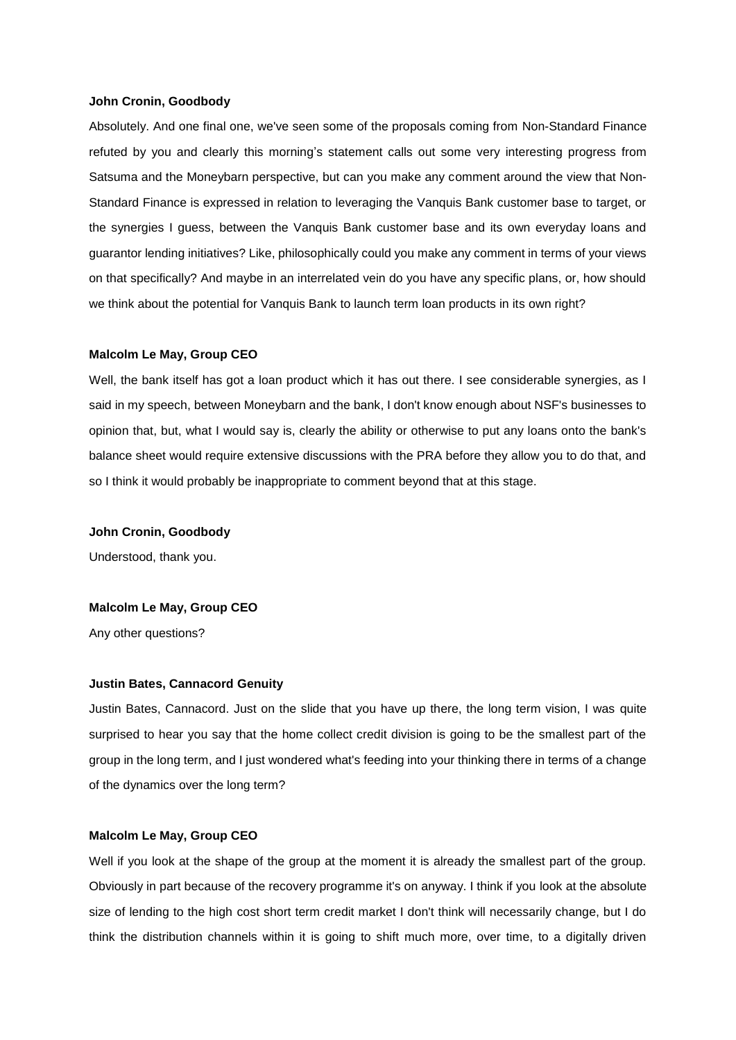#### **John Cronin, Goodbody**

Absolutely. And one final one, we've seen some of the proposals coming from Non-Standard Finance refuted by you and clearly this morning's statement calls out some very interesting progress from Satsuma and the Moneybarn perspective, but can you make any comment around the view that Non-Standard Finance is expressed in relation to leveraging the Vanquis Bank customer base to target, or the synergies I guess, between the Vanquis Bank customer base and its own everyday loans and guarantor lending initiatives? Like, philosophically could you make any comment in terms of your views on that specifically? And maybe in an interrelated vein do you have any specific plans, or, how should we think about the potential for Vanquis Bank to launch term loan products in its own right?

#### **Malcolm Le May, Group CEO**

Well, the bank itself has got a loan product which it has out there. I see considerable synergies, as I said in my speech, between Moneybarn and the bank, I don't know enough about NSF's businesses to opinion that, but, what I would say is, clearly the ability or otherwise to put any loans onto the bank's balance sheet would require extensive discussions with the PRA before they allow you to do that, and so I think it would probably be inappropriate to comment beyond that at this stage.

**John Cronin, Goodbody**

Understood, thank you.

#### **Malcolm Le May, Group CEO**

Any other questions?

#### **Justin Bates, Cannacord Genuity**

Justin Bates, Cannacord. Just on the slide that you have up there, the long term vision, I was quite surprised to hear you say that the home collect credit division is going to be the smallest part of the group in the long term, and I just wondered what's feeding into your thinking there in terms of a change of the dynamics over the long term?

#### **Malcolm Le May, Group CEO**

Well if you look at the shape of the group at the moment it is already the smallest part of the group. Obviously in part because of the recovery programme it's on anyway. I think if you look at the absolute size of lending to the high cost short term credit market I don't think will necessarily change, but I do think the distribution channels within it is going to shift much more, over time, to a digitally driven